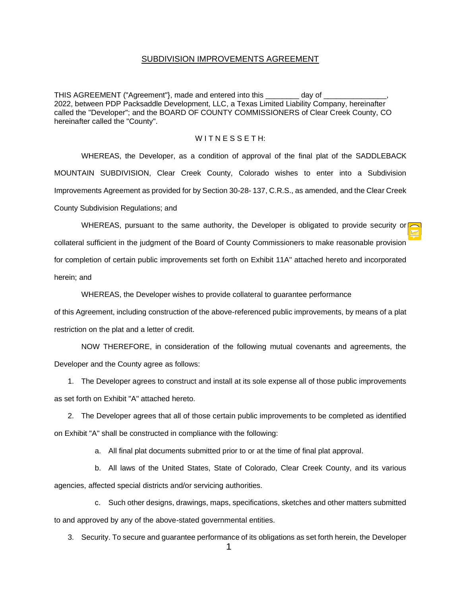#### SUBDIVISION IMPROVEMENTS AGREEMENT

THIS AGREEMENT ("Agreement"), made and entered into this \_\_\_\_\_\_\_\_ day of 2022, between PDP Packsaddle Development, LLC, a Texas Limited Liability Company, hereinafter called the "Developer"; and the BOARD OF COUNTY COMMISSIONERS of Clear Creek County, CO hereinafter called the "County".

## $W$ I T N E S S E T H:

WHEREAS, the Developer, as a condition of approval of the final plat of the SADDLEBACK MOUNTAIN SUBDIVISION, Clear Creek County, Colorado wishes to enter into a Subdivision Improvements Agreement as provided for by Section 30-28- 137, C.R.S., as amended, and the Clear Creek County Subdivision Regulations; and

WHEREAS, pursuant to the same authority, the Developer is obligated to provide security or collateral sufficient in the judgment of the Board of County Commissioners to make reasonable provision for completion of certain public improvements set forth on Exhibit 11A" attached hereto and incorporated herein; and

WHEREAS, the Developer wishes to provide collateral to guarantee performance

of this Agreement, including construction of the above-referenced public improvements, by means of a plat restriction on the plat and a letter of credit.

NOW THEREFORE, in consideration of the following mutual covenants and agreements, the Developer and the County agree as follows:

1. The Developer agrees to construct and install at its sole expense all of those public improvements as set forth on Exhibit "A" attached hereto.

2. The Developer agrees that all of those certain public improvements to be completed as identified on Exhibit "A" shall be constructed in compliance with the following:

a. All final plat documents submitted prior to or at the time of final plat approval.

b. All laws of the United States, State of Colorado, Clear Creek County, and its various agencies, affected special districts and/or servicing authorities.

c. Such other designs, drawings, maps, specifications, sketches and other matters submitted to and approved by any of the above-stated governmental entities.

3. Security. To secure and guarantee performance of its obligations as set forth herein, the Developer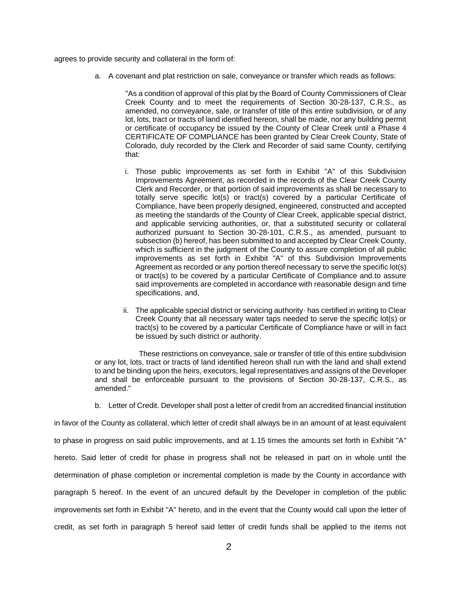agrees to provide security and collateral in the form of:

a. A covenant and plat restriction on sale, conveyance or transfer which reads as follows:

"As a condition of approval of this plat by the Board of County Commissioners of Clear Creek County and to meet the requirements of Section 30-28-137, C.R.S., as amended, no conveyance, sale, or transfer of title of this entire subdivision, or of any lot, lots, tract or tracts of land identified hereon, shall be made, nor any building permit or certificate of occupancy be issued by the County of Clear Creek until a Phase 4 CERTIFICATE OF COMPLIANCE has been granted by Clear Creek County, State of Colorado, duly recorded by the Clerk and Recorder of said same County, certifying that:

- i. Those public improvements as set forth in Exhibit "A" of this Subdivision Improvements Agreement, as recorded in the records of the Clear Creek County Clerk and Recorder, or that portion of said improvements as shall be necessary to totally serve specific lot(s) or tract(s) covered by a particular Certificate of Compliance, have been properly designed, engineered, constructed and accepted as meeting the standards of the County of Clear Creek, applicable special district, and applicable servicing authorities, or, that a substituted security or collateral authorized pursuant to Section 30-28-101, C.R.S., as amended, pursuant to subsection (b) hereof, has been submitted to and accepted by Clear Creek County, which is sufficient in the judgment of the County to assure completion of all public improvements as set forth in Exhibit "A" of this Subdivision Improvements Agreement as recorded or any portion thereof necessary to serve the specific lot(s) or tract(s) to be covered by a particular Certificate of Compliance and.to assure said improvements are completed in accordance with reasonable design and time specifications, and,
- ii. The applicable special district or servicing authority· has certified in writing to Clear Creek County that all necessary water taps needed to serve the specific lot(s) or tract(s) to be covered by a particular Certificate of Compliance have or will in fact be issued by such district or authority.

These restrictions on conveyance, sale or transfer of title of this entire subdivision or any lot, lots, tract or tracts of land identified hereon shall run with the land and shall extend to and be binding upon the heirs, executors, legal representatives and assigns of the Developer and shall be enforceable pursuant to the provisions of Section 30-28-137, C.R.S., as amended."

b. Letter of Credit. Developer shall post a letter of credit from an accredited financial institution

in favor of the County as collateral, which letter of credit shall always be in an amount of at least equivalent to phase in progress on said public improvements, and at 1.15 times the amounts set forth in Exhibit "A" hereto. Said letter of credit for phase in progress shall not be released in part on in whole until the determination of phase completion or incremental completion is made by the County in accordance with paragraph 5 hereof. In the event of an uncured default by the Developer in completion of the public improvements set forth in Exhibit "A" hereto, and in the event that the County would call upon the letter of credit, as set forth in paragraph 5 hereof said letter of credit funds shall be applied to the items not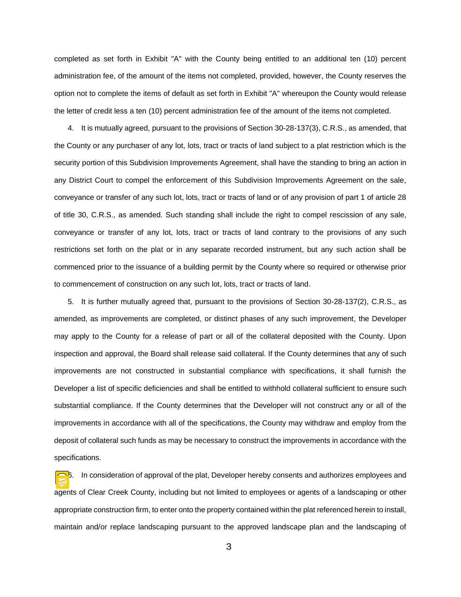completed as set forth in Exhibit "A" with the County being entitled to an additional ten (10) percent administration fee, of the amount of the items not completed, provided, however, the County reserves the option not to complete the items of default as set forth in Exhibit "A" whereupon the County would release the letter of credit less a ten (10) percent administration fee of the amount of the items not completed.

4. It is mutually agreed, pursuant to the provisions of Section 30-28-137(3), C.R.S., as amended, that the County or any purchaser of any lot, lots, tract or tracts of land subject to a plat restriction which is the security portion of this Subdivision Improvements Agreement, shall have the standing to bring an action in any District Court to compel the enforcement of this Subdivision Improvements Agreement on the sale, conveyance or transfer of any such lot, lots, tract or tracts of land or of any provision of part 1 of article 28 of title 30, C.R.S., as amended. Such standing shall include the right to compel rescission of any sale, conveyance or transfer of any lot, lots, tract or tracts of land contrary to the provisions of any such restrictions set forth on the plat or in any separate recorded instrument, but any such action shall be commenced prior to the issuance of a building permit by the County where so required or otherwise prior to commencement of construction on any such lot, lots, tract or tracts of land.

5. It is further mutually agreed that, pursuant to the provisions of Section 30-28-137(2), C.R.S., as amended, as improvements are completed, or distinct phases of any such improvement, the Developer may apply to the County for a release of part or all of the collateral deposited with the County. Upon inspection and approval, the Board shall release said collateral. If the County determines that any of such improvements are not constructed in substantial compliance with specifications, it shall furnish the Developer a list of specific deficiencies and shall be entitled to withhold collateral sufficient to ensure such substantial compliance. If the County determines that the Developer will not construct any or all of the improvements in accordance with all of the specifications, the County may withdraw and employ from the deposit of collateral such funds as may be necessary to construct the improvements in accordance with the specifications.

6. In consideration of approval of the plat, Developer hereby consents and authorizes employees and agents of Clear Creek County, including but not limited to employees or agents of a landscaping or other appropriate construction firm, to enter onto the property contained within the plat referenced herein to install, maintain and/or replace landscaping pursuant to the approved landscape plan and the landscaping of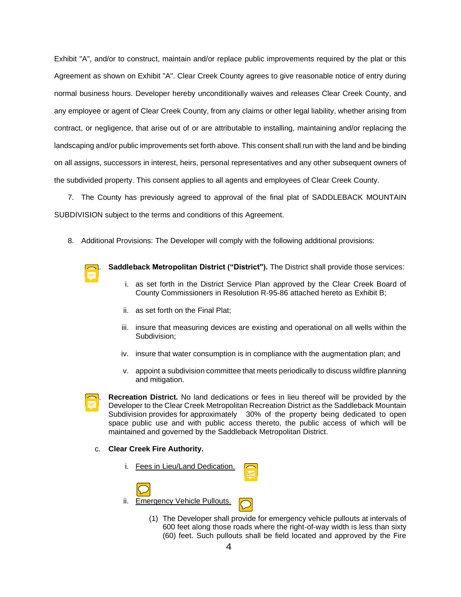Exhibit "A", and/or to construct, maintain and/or replace public improvements required by the plat or this Agreement as shown on Exhibit "A". Clear Creek County agrees to give reasonable notice of entry during normal business hours. Developer hereby unconditionally waives and releases Clear Creek County, and any employee or agent of Clear Creek County, from any claims or other legal liability, whether arising from contract, or negligence, that arise out of or are attributable to installing, maintaining and/or replacing the landscaping and/or public improvements set forth above. This consent shall run with the land and be binding on all assigns, successors in interest, heirs, personal representatives and any other subsequent owners of the subdivided property. This consent applies to all agents and employees of Clear Creek County.

7. The County has previously agreed to approval of the final plat of SADDLEBACK MOUNTAIN SUBDIVISION subject to the terms and conditions of this Agreement.

8. Additional Provisions: The Developer will comply with the following additional provisions:



**Saddleback Metropolitan District ("District").** The District shall provide those services:

- i. as set forth in the District Service Plan approved by the Clear Creek Board of County Commissioners in Resolution R-95-86 attached hereto as Exhibit B;
- ii. as set forth on the Final Plat;
- iii. insure that measuring devices are existing and operational on all wells within the Subdivision;
- iv. insure that water consumption is in compliance with the augmentation plan; and
- v. appoint a subdivision committee that meets periodically to discuss wildfire planning and mitigation.

**Recreation District.** No land dedications or fees in lieu thereof will be provided by the Developer to the Clear Creek Metropolitan Recreation District as the Saddleback Mountain Subdivision provides for approximately 30% of the property being dedicated to open space public use and with public access thereto, the public access of which will be maintained and governed by the Saddleback Metropolitan District.

### c. **Clear Creek Fire Authority.**

i. Fees in Lieu/Land Dedication.



(1) The Developer shall provide for emergency vehicle pullouts at intervals of 600 feet along those roads where the right-of-way width is less than sixty (60) feet. Such pullouts shall be field located and approved by the Fire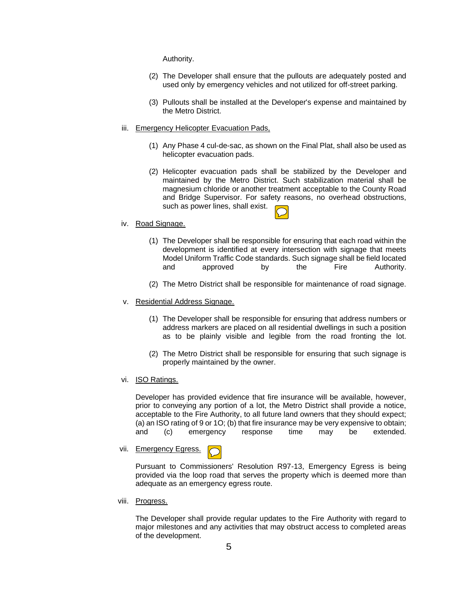Authority.

- (2) The Developer shall ensure that the pullouts are adequately posted and used only by emergency vehicles and not utilized for off-street parking.
- (3) Pullouts shall be installed at the Developer's expense and maintained by the Metro District.

### iii. Emergency Helicopter Evacuation Pads,

- (1) Any Phase 4 cul-de-sac, as shown on the Final Plat, shall also be used as helicopter evacuation pads.
- (2) Helicopter evacuation pads shall be stabilized by the Developer and maintained by the Metro District. Such stabilization material shall be magnesium chloride or another treatment acceptable to the County Road and Bridge Supervisor. For safety reasons, no overhead obstructions, such as power lines, shall exist.



## iv. Road Signage.

- (1) The Developer shall be responsible for ensuring that each road within the development is identified at every intersection with signage that meets Model Uniform Traffic Code standards. Such signage shall be field located and approved by the Fire Authority.
- (2) The Metro District shall be responsible for maintenance of road signage.
- v. Residential Address Signage.
	- (1) The Developer shall be responsible for ensuring that address numbers or address markers are placed on all residential dwellings in such a position as to be plainly visible and legible from the road fronting the lot.
	- (2) The Metro District shall be responsible for ensuring that such signage is properly maintained by the owner.
- vi. ISO Ratings.

Developer has provided evidence that fire insurance will be available, however, prior to conveying any portion of a lot, the Metro District shall provide a notice, acceptable to the Fire Authority, to all future land owners that they should expect; (a) an ISO rating of 9 or 1O; (b) that fire insurance may be very expensive to obtain; and (c) emergency response time may be extended.

vii. Emergency Egress.

Pursuant to Commissioners' Resolution R97-13, Emergency Egress is being provided via the loop road that serves the property which is deemed more than adequate as an emergency egress route.

viii. Progress.

The Developer shall provide regular updates to the Fire Authority with regard to major milestones and any activities that may obstruct access to completed areas of the development.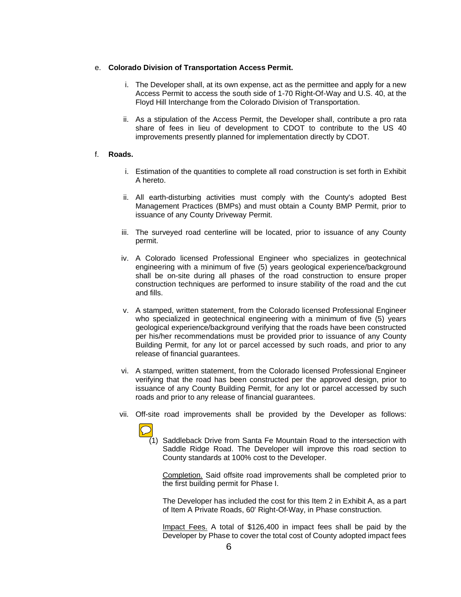### e. **Colorado Division of Transportation Access Permit.**

- i. The Developer shall, at its own expense, act as the permittee and apply for a new Access Permit to access the south side of 1-70 Right-Of-Way and U.S. 40, at the Floyd Hill Interchange from the Colorado Division of Transportation.
- ii. As a stipulation of the Access Permit, the Developer shall, contribute a pro rata share of fees in lieu of development to CDOT to contribute to the US 40 improvements presently planned for implementation directly by CDOT.

#### f. **Roads.**

- i. Estimation of the quantities to complete all road construction is set forth in Exhibit A hereto.
- ii. All earth-disturbing activities must comply with the County's adopted Best Management Practices (BMPs) and must obtain a County BMP Permit, prior to issuance of any County Driveway Permit.
- iii. The surveyed road centerline will be located, prior to issuance of any County permit.
- iv. A Colorado licensed Professional Engineer who specializes in geotechnical engineering with a minimum of five (5) years geological experience/background shall be on-site during all phases of the road construction to ensure proper construction techniques are performed to insure stability of the road and the cut and fills.
- v. A stamped, written statement, from the Colorado licensed Professional Engineer who specialized in geotechnical engineering with a minimum of five (5) years geological experience/background verifying that the roads have been constructed per his/her recommendations must be provided prior to issuance of any County Building Permit, for any lot or parcel accessed by such roads, and prior to any release of financial guarantees.
- vi. A stamped, written statement, from the Colorado licensed Professional Engineer verifying that the road has been constructed per the approved design, prior to issuance of any County Building Permit, for any lot or parcel accessed by such roads and prior to any release of financial guarantees.
- vii. Off-site road improvements shall be provided by the Developer as follows:



 $(1)$  Saddleback Drive from Santa Fe Mountain Road to the intersection with Saddle Ridge Road. The Developer will improve this road section to County standards at 100% cost to the Developer.

Completion. Said offsite road improvements shall be completed prior to the first building permit for Phase I.

The Developer has included the cost for this Item 2 in Exhibit A, as a part of Item A Private Roads, 60' Right-Of-Way, in Phase construction.

Impact Fees. A total of \$126,400 in impact fees shall be paid by the Developer by Phase to cover the total cost of County adopted impact fees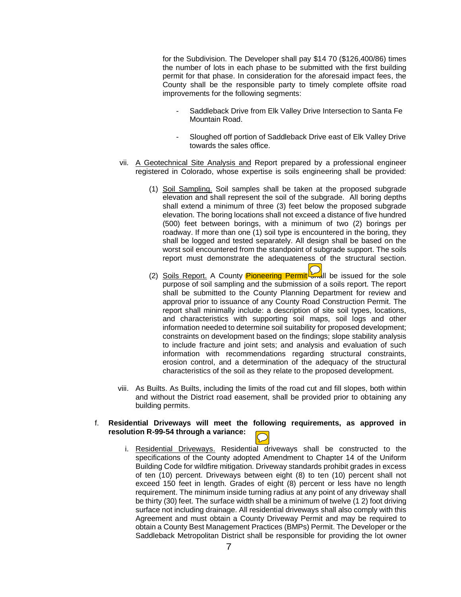for the Subdivision. The Developer shall pay \$14 70 (\$126,400/86) times the number of lots in each phase to be submitted with the first building permit for that phase. In consideration for the aforesaid impact fees, the County shall be the responsible party to timely complete offsite road improvements for the following segments:

- Saddleback Drive from Elk Valley Drive Intersection to Santa Fe Mountain Road.
- Sloughed off portion of Saddleback Drive east of Elk Valley Drive towards the sales office.
- vii. A Geotechnical Site Analysis and Report prepared by a professional engineer registered in Colorado, whose expertise is soils engineering shall be provided:
	- (1) Soil Sampling. Soil samples shall be taken at the proposed subgrade elevation and shall represent the soil of the subgrade. All boring depths shall extend a minimum of three (3) feet below the proposed subgrade elevation. The boring locations shall not exceed a distance of five hundred (500) feet between borings, with a minimum of two (2) borings per roadway. If more than one (1) soil type is encountered in the boring, they shall be logged and tested separately. All design shall be based on the worst soil encountered from the standpoint of subgrade support. The soils report must demonstrate the adequateness of the structural section.
	- (2) Soils Report. A County **Pioneering Permit**  $\Box$  be issued for the sole purpose of soil sampling and the submission of a soils report. The report shall be submitted to the County Planning Department for review and approval prior to issuance of any County Road Construction Permit. The report shall minimally include: a description of site soil types, locations, and characteristics with supporting soil maps, soil logs and other information needed to determine soil suitability for proposed development; constraints on development based on the findings; slope stability analysis to include fracture and joint sets; and analysis and evaluation of such information with recommendations regarding structural constraints, erosion control, and a determination of the adequacy of the structural characteristics of the soil as they relate to the proposed development.
- viii. As Builts. As Builts, including the limits of the road cut and fill slopes, both within and without the District road easement, shall be provided prior to obtaining any building permits.

# f. **Residential Driveways will meet the following requirements, as approved in resolution R-99-54 through a variance:**

i. Residential Driveways. Residential driveways shall be constructed to the specifications of the County adopted Amendment to Chapter 14 of the Uniform Building Code for wildfire mitigation. Driveway standards prohibit grades in excess of ten (10) percent. Driveways between eight (8) to ten (10) percent shall not exceed 150 feet in length. Grades of eight (8) percent or less have no length requirement. The minimum inside turning radius at any point of any driveway shall be thirty (30) feet. The surface width shall be a minimum of twelve (1 2) foot driving surface not including drainage. All residential driveways shall also comply with this Agreement and must obtain a County Driveway Permit and may be required to obtain a County Best Management Practices (BMPs) Permit. The Developer or the Saddleback Metropolitan District shall be responsible for providing the lot owner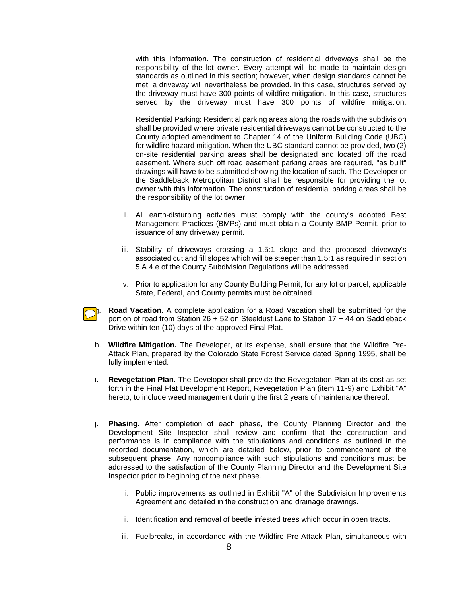with this information. The construction of residential driveways shall be the responsibility of the lot owner. Every attempt will be made to maintain design standards as outlined in this section; however, when design standards cannot be met, a driveway will nevertheless be provided. In this case, structures served by the driveway must have 300 points of wildfire mitigation. In this case, structures served by the driveway must have 300 points of wildfire mitigation.

Residential Parking: Residential parking areas along the roads with the subdivision shall be provided where private residential driveways cannot be constructed to the County adopted amendment to Chapter 14 of the Uniform Building Code (UBC) for wildfire hazard mitigation. When the UBC standard cannot be provided, two (2) on-site residential parking areas shall be designated and located off the road easement. Where such off road easement parking areas are required, "as built" drawings will have to be submitted showing the location of such. The Developer or the Saddleback Metropolitan District shall be responsible for providing the lot owner with this information. The construction of residential parking areas shall be the responsibility of the lot owner.

- ii. All earth-disturbing activities must comply with the county's adopted Best Management Practices (BMPs) and must obtain a County BMP Permit, prior to issuance of any driveway permit.
- iii. Stability of driveways crossing a 1.5:1 slope and the proposed driveway's associated cut and fill slopes which will be steeper than 1.5:1 as required in section 5.A.4.e of the County Subdivision Regulations will be addressed.
- iv. Prior to application for any County Building Permit, for any lot or parcel, applicable State, Federal, and County permits must be obtained.
- **g.** Road Vacation. A complete application for a Road Vacation shall be submitted for the portion of road from Station 26 + 52 on Steeldust Lane to Station 17 + 44 on Saddleback Drive within ten (10) days of the approved Final Plat.
	- h. **Wildfire Mitigation.** The Developer, at its expense, shall ensure that the Wildfire Pre-Attack Plan, prepared by the Colorado State Forest Service dated Spring 1995, shall be fully implemented.
	- i. **Revegetation Plan.** The Developer shall provide the Revegetation Plan at its cost as set forth in the Final Plat Development Report, Revegetation Plan (item 11-9) and Exhibit "A" hereto, to include weed management during the first 2 years of maintenance thereof.
	- j. **Phasing.** After completion of each phase, the County Planning Director and the Development Site Inspector shall review and confirm that the construction and performance is in compliance with the stipulations and conditions as outlined in the recorded documentation, which are detailed below, prior to commencement of the subsequent phase. Any noncompliance with such stipulations and conditions must be addressed to the satisfaction of the County Planning Director and the Development Site Inspector prior to beginning of the next phase.
		- i. Public improvements as outlined in Exhibit "A" of the Subdivision Improvements Agreement and detailed in the construction and drainage drawings.
		- ii. Identification and removal of beetle infested trees which occur in open tracts.
		- iii. Fuelbreaks, in accordance with the Wildfire Pre-Attack Plan, simultaneous with